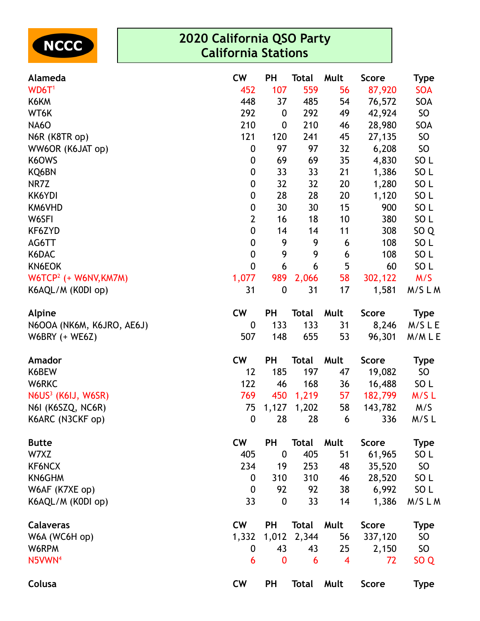

| Alameda                        | <b>CW</b>        | <b>PH</b>        | <b>Total</b> | Mult           | <b>Score</b> | <b>Type</b>     |
|--------------------------------|------------------|------------------|--------------|----------------|--------------|-----------------|
| WD6T <sup>1</sup>              | 452              | 107              | 559          | 56             | 87,920       | <b>SOA</b>      |
| K6KM                           | 448              | 37               | 485          | 54             | 76,572       | SOA             |
| WT6K                           | 292              | $\boldsymbol{0}$ | 292          | 49             | 42,924       | <b>SO</b>       |
| <b>NA6O</b>                    | 210              | $\boldsymbol{0}$ | 210          | 46             | 28,980       | SOA             |
| N6R (K8TR op)                  | 121              | 120              | 241          | 45             | 27,135       | SO              |
| WW6OR (K6JAT op)               | $\boldsymbol{0}$ | 97               | 97           | 32             | 6,208        | SO              |
| K6OWS                          | 0                | 69               | 69           | 35             | 4,830        | SO <sub>L</sub> |
| KQ6BN                          | 0                | 33               | 33           | 21             | 1,386        | SO <sub>L</sub> |
| NR7Z                           | $\pmb{0}$        | 32               | 32           | 20             | 1,280        | SO <sub>L</sub> |
| KK6YDI                         | 0                | 28               | 28           | 20             | 1,120        | SO <sub>L</sub> |
| KM6VHD                         | 0                | 30               | 30           | 15             | 900          | SO <sub>L</sub> |
| W6SFI                          | $\overline{2}$   | 16               | 18           | 10             | 380          | SO <sub>L</sub> |
| KF6ZYD                         | $\pmb{0}$        | 14               | 14           | 11             | 308          | SO <sub>Q</sub> |
| AG6TT                          | 0                | 9                | 9            | 6              | 108          | SO <sub>L</sub> |
| K6DAC                          | $\boldsymbol{0}$ | 9                | 9            | 6              | 108          | SO <sub>L</sub> |
| KN6EOK                         | 0                | 6                | 6            | 5              | 60           | SO <sub>L</sub> |
| $W6TCP2$ (+ W6NV, KM7M)        | 1,077            | 989              | 2,066        | 58             | 302,122      | M/S             |
| K6AQL/M (K0DI op)              | 31               | $\boldsymbol{0}$ | 31           | 17             | 1,581        | M/SLM           |
| Alpine                         | <b>CW</b>        | <b>PH</b>        | <b>Total</b> | Mult           | <b>Score</b> | Type            |
| N6OOA (NK6M, K6JRO, AE6J)      | 0                | 133              | 133          | 31             | 8,246        | M/SLE           |
| W6BRY (+ WE6Z)                 | 507              | 148              | 655          | 53             | 96,301       | M/MLE           |
| Amador                         | <b>CW</b>        | <b>PH</b>        | <b>Total</b> | Mult           | <b>Score</b> | <b>Type</b>     |
| K6BEW                          | 12               | 185              | 197          | 47             | 19,082       | SO              |
| W6RKC                          | 122              | 46               | 168          | 36             | 16,488       | SO <sub>L</sub> |
| N6US <sup>3</sup> (K6IJ, W6SR) | 769              | 450              | 1,219        | 57             | 182,799      | M/SL            |
| N6I (K6SZQ, NC6R)              | 75               | 1,127            | 1,202        | 58             | 143,782      | M/S             |
| K6ARC (N3CKF op)               | $\boldsymbol{0}$ | 28               | 28           | 6              | 336          | M/SL            |
| <b>Butte</b>                   | <b>CW</b>        | PH               | <b>Total</b> | Mult           | <b>Score</b> | <b>Type</b>     |
| W7XZ                           | 405              | $\boldsymbol{0}$ | 405          | 51             | 61,965       | SO <sub>L</sub> |
| KF6NCX                         | 234              | 19               | 253          | 48             | 35,520       | <b>SO</b>       |
| KN6GHM                         | $\boldsymbol{0}$ | 310              | 310          | 46             | 28,520       | SO <sub>L</sub> |
| W6AF (K7XE op)                 | $\mathbf 0$      | 92               | 92           | 38             | 6,992        | SO <sub>L</sub> |
| K6AQL/M (K0DI op)              | 33               | $\boldsymbol{0}$ | 33           | 14             | 1,386        | M/SLM           |
| <b>Calaveras</b>               | <b>CW</b>        | <b>PH</b>        | <b>Total</b> | Mult           | <b>Score</b> | <b>Type</b>     |
| W6A (WC6H op)                  | 1,332            | 1,012            | 2,344        | 56             | 337,120      | SO              |
| W6RPM                          | 0                | 43               | 43           | 25             | 2,150        | SO              |
| N5VWN <sup>4</sup>             | 6                | $\mathbf 0$      | 6            | $\overline{4}$ | 72           | SO <sub>Q</sub> |
| Colusa                         | <b>CW</b>        | <b>PH</b>        | <b>Total</b> | Mult           | <b>Score</b> | <b>Type</b>     |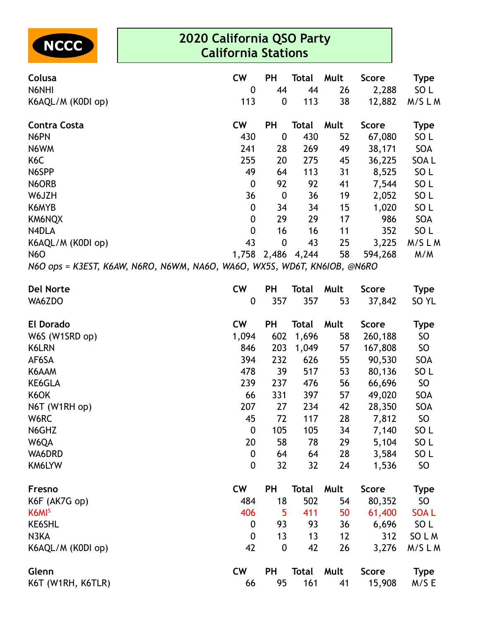

| Colusa<br>N6NHI     | <b>CW</b><br>$\mathbf 0$                                                 | <b>PH</b><br>44  | Total<br>44  | Mult<br>26 | Score<br>2,288 | <b>Type</b><br>SO <sub>L</sub> |  |  |  |  |
|---------------------|--------------------------------------------------------------------------|------------------|--------------|------------|----------------|--------------------------------|--|--|--|--|
| K6AQL/M (K0DI op)   | 113                                                                      | $\mathbf 0$      | 113          | 38         | 12,882         | M/SLM                          |  |  |  |  |
| <b>Contra Costa</b> | <b>CW</b>                                                                | <b>PH</b>        | <b>Total</b> | Mult       | <b>Score</b>   | <b>Type</b>                    |  |  |  |  |
| N6PN                | 430                                                                      | $\boldsymbol{0}$ | 430          | 52         | 67,080         | SO <sub>L</sub>                |  |  |  |  |
| N6WM                | 241                                                                      | 28               | 269          | 49         | 38,171         | <b>SOA</b>                     |  |  |  |  |
| K <sub>6</sub> C    | 255                                                                      | 20               | 275          | 45         | 36,225         | SOA L                          |  |  |  |  |
| N6SPP               | 49                                                                       | 64               | 113          | 31         | 8,525          | SO <sub>L</sub>                |  |  |  |  |
| N6ORB               | $\boldsymbol{0}$                                                         | 92               | 92           | 41         | 7,544          | SO <sub>L</sub>                |  |  |  |  |
| W6JZH               | 36                                                                       | $\boldsymbol{0}$ | 36           | 19         | 2,052          | SO <sub>L</sub>                |  |  |  |  |
| K6MYB               | 0                                                                        | 34               | 34           | 15         | 1,020          | SO <sub>L</sub>                |  |  |  |  |
| KM6NQX              | $\boldsymbol{0}$                                                         | 29               | 29           | 17         | 986            | <b>SOA</b>                     |  |  |  |  |
| N4DLA               | $\mathbf 0$                                                              | 16               | 16           | 11         | 352            | SO <sub>L</sub>                |  |  |  |  |
| K6AQL/M (K0DI op)   | 43                                                                       | $\boldsymbol{0}$ | 43           | 25         | 3,225          | M/SLM                          |  |  |  |  |
| <b>N6O</b>          | 1,758                                                                    | 2,486            | 4,244        | 58         | 594,268        | M/M                            |  |  |  |  |
|                     | N6O ops = K3EST, K6AW, N6RO, N6WM, NA6O, WA6O, WX5S, WD6T, KN6IOB, @N6RO |                  |              |            |                |                                |  |  |  |  |

| <b>Del Norte</b>  | <b>CW</b>        | PH               | <b>Total</b> | Mult | <b>Score</b> | <b>Type</b>      |
|-------------------|------------------|------------------|--------------|------|--------------|------------------|
| WA6ZDO            | $\mathbf 0$      | 357              | 357          | 53   | 37,842       | SO <sub>YL</sub> |
| <b>El Dorado</b>  | <b>CW</b>        | <b>PH</b>        | <b>Total</b> | Mult | <b>Score</b> | Type             |
| W6S (W1SRD op)    | 1,094            | 602              | 1,696        | 58   | 260,188      | SO               |
| K6LRN             | 846              | 203              | 1,049        | 57   | 167,808      | SO               |
| AF6SA             | 394              | 232              | 626          | 55   | 90,530       | SOA              |
| K6AAM             | 478              | 39               | 517          | 53   | 80,136       | SO <sub>L</sub>  |
| KE6GLA            | 239              | 237              | 476          | 56   | 66,696       | SO               |
| K6OK              | 66               | 331              | 397          | 57   | 49,020       | SOA              |
| N6T (W1RH op)     | 207              | 27               | 234          | 42   | 28,350       | SOA              |
| W6RC              | 45               | 72               | 117          | 28   | 7,812        | SO               |
| N6GHZ             | $\boldsymbol{0}$ | 105              | 105          | 34   | 7,140        | SO <sub>L</sub>  |
| W6QA              | 20               | 58               | 78           | 29   | 5,104        | SO <sub>L</sub>  |
| WA6DRD            | $\boldsymbol{0}$ | 64               | 64           | 28   | 3,584        | SO <sub>L</sub>  |
| KM6LYW            | $\mathbf 0$      | 32               | 32           | 24   | 1,536        | <b>SO</b>        |
| Fresno            | <b>CW</b>        | PH               | <b>Total</b> | Mult | <b>Score</b> | Type             |
| K6F (AK7G op)     | 484              | 18               | 502          | 54   | 80,352       | SO               |
| K6MI <sup>5</sup> | 406              | 5                | 411          | 50   | 61,400       | <b>SOAL</b>      |
| <b>KE6SHL</b>     | $\mathbf 0$      | 93               | 93           | 36   | 6,696        | SO <sub>L</sub>  |
| N3KA              | $\mathbf 0$      | 13               | 13           | 12   | 312          | SO L M           |
| K6AQL/M (K0DI op) | 42               | $\boldsymbol{0}$ | 42           | 26   | 3,276        | M/SLM            |
| Glenn             | <b>CW</b>        | <b>PH</b>        | <b>Total</b> | Mult | <b>Score</b> | <b>Type</b>      |
| K6T (W1RH, K6TLR) | 66               | 95               | 161          | 41   | 15,908       | M/S E            |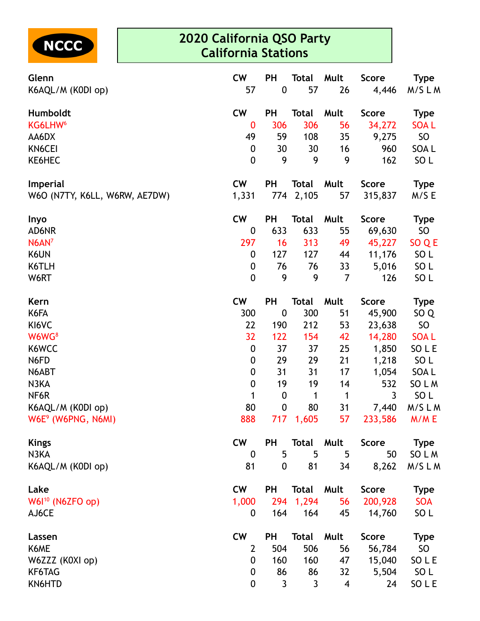

| Glenn<br>K6AQL/M (K0DI op)     | <b>CW</b><br>57  | <b>PH</b><br>$\boldsymbol{0}$ | <b>Total</b><br>57 | Mult<br>26              | <b>Score</b><br>4,446 | Type<br>M/SLM    |
|--------------------------------|------------------|-------------------------------|--------------------|-------------------------|-----------------------|------------------|
| Humboldt                       | <b>CW</b>        | PH                            | <b>Total</b>       | Mult                    | <b>Score</b>          | <b>Type</b>      |
| KG6LHW <sup>6</sup>            | $\bf{0}$         | 306                           | 306                | 56                      | 34,272                | <b>SOAL</b>      |
| AA6DX                          | 49               | 59                            | 108                | 35                      | 9,275                 | SO               |
| KN6CEI                         | $\boldsymbol{0}$ | 30                            | 30                 | 16                      | 960                   | SOA <sub>L</sub> |
| KE6HEC                         | 0                | 9                             | 9                  | 9                       | 162                   | SO <sub>L</sub>  |
| <b>Imperial</b>                | <b>CW</b>        | PH                            | <b>Total</b>       | Mult                    | <b>Score</b>          | <b>Type</b>      |
| W6O (N7TY, K6LL, W6RW, AE7DW)  | 1,331            | 774                           | 2,105              | 57                      | 315,837               | M/S E            |
| Inyo                           | <b>CW</b>        | PH                            | <b>Total</b>       | Mult                    | <b>Score</b>          | <b>Type</b>      |
| AD6NR                          | 0                | 633                           | 633                | 55                      | 69,630                | <b>SO</b>        |
| $N6AN^7$                       | 297              | 16                            | 313                | 49                      | 45,227                | SO Q E           |
| K6UN                           | 0                | 127                           | 127                | 44                      | 11,176                | SO <sub>L</sub>  |
| K6TLH                          | 0                | 76                            | 76                 | 33                      | 5,016                 | SO <sub>L</sub>  |
| W6RT                           | 0                | 9                             | 9                  | $\overline{7}$          | 126                   | SO <sub>L</sub>  |
| Kern                           | <b>CW</b>        | PH                            | <b>Total</b>       | Mult                    | <b>Score</b>          | <b>Type</b>      |
| K6FA                           | 300              | $\boldsymbol{0}$              | 300                | 51                      | 45,900                | SO <sub>Q</sub>  |
| KI6VC                          | 22               | 190                           | 212                | 53                      | 23,638                | SO               |
| W6WG <sup>8</sup>              | 32               | 122                           | 154                | 42                      | 14,280                | <b>SOAL</b>      |
| K6WCC                          | $\boldsymbol{0}$ | 37                            | 37                 | 25                      | 1,850                 | SO L E           |
| N6FD                           | 0                | 29                            | 29                 | 21                      | 1,218                 | SO <sub>L</sub>  |
| N6ABT                          | $\boldsymbol{0}$ | 31                            | 31                 | 17                      | 1,054                 | SOA L            |
| N3KA                           | $\boldsymbol{0}$ | 19                            | 19                 | 14                      | 532                   | SO L M           |
| NF6R                           | 1                | $\boldsymbol{0}$              | 1                  | $\mathbf 1$             | 3                     | SO <sub>L</sub>  |
| K6AQL/M (K0DI op)              | 80               | $\pmb{0}$                     | 80                 | 31                      | 7,440                 | M/SLM            |
| W6E <sup>9</sup> (W6PNG, N6MI) | 888              |                               | 717 1,605          | 57                      | 233,586               | M/M E            |
| <b>Kings</b>                   | <b>CW</b>        | PH                            | <b>Total Mult</b>  |                         | Score                 | Type             |
| N3KA                           | $\mathbf 0$      | 5                             | 5                  | 5                       | 50                    | SO L M           |
| K6AQL/M (K0DI op)              | 81               | $\mathbf 0$                   | 81                 | 34                      | 8,262                 | M/SLM            |
| Lake                           | <b>CW</b>        | PH                            | <b>Total Mult</b>  |                         | <b>Score</b>          | <b>Type</b>      |
| W61 <sup>10</sup> (N6ZFO op)   | 1,000            |                               | 294 1,294          | 56                      | 200,928               | <b>SOA</b>       |
| AJ6CE                          | 0                | 164                           | 164                | 45                      | 14,760                | SO L             |
| Lassen                         | <b>CW</b>        | <b>PH</b>                     | Total              | Mult                    | <b>Score</b>          | <b>Type</b>      |
| K6ME                           | 2                | 504                           | 506                | 56                      | 56,784                | SO               |
| W6ZZZ (K0XI op)                | $\mathbf 0$      | 160                           | 160                | 47                      | 15,040                | SO L E           |
| KF6TAG                         | 0                | 86                            | 86                 | 32                      | 5,504                 | SO <sub>L</sub>  |
| KN6HTD                         | 0                | 3                             | 3                  | $\overline{\mathbf{4}}$ | 24                    | SO L E           |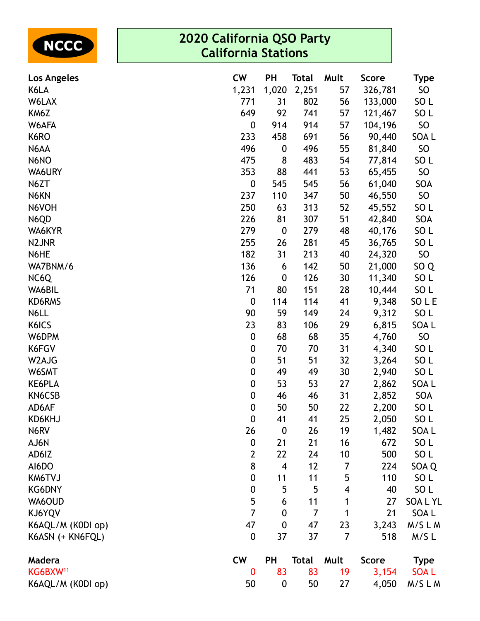| <b>NCCC</b>                | 2020 California QSO Party<br><b>California Stations</b> |                         |                |                         |                  |                       |  |  |  |
|----------------------------|---------------------------------------------------------|-------------------------|----------------|-------------------------|------------------|-----------------------|--|--|--|
| Los Angeles                | <b>CW</b>                                               | PH                      | <b>Total</b>   | Mult                    | <b>Score</b>     | <b>Type</b>           |  |  |  |
| K6LA                       | 1,231                                                   | 1,020                   | 2,251          | 57                      | 326,781          | SO                    |  |  |  |
| W6LAX                      | 771                                                     | 31                      | 802            | 56                      | 133,000          | SO <sub>L</sub>       |  |  |  |
| KM6Z                       | 649                                                     | 92                      | 741            | 57                      | 121,467          | SO <sub>L</sub>       |  |  |  |
| W6AFA                      | 0                                                       | 914                     | 914            | 57                      | 104,196          | SO                    |  |  |  |
| K6RO                       | 233                                                     | 458                     | 691            | 56                      | 90,440           | SOA L                 |  |  |  |
| N6AA                       | 496                                                     | $\boldsymbol{0}$        | 496            | 55                      | 81,840           | <b>SO</b>             |  |  |  |
| N6NO                       | 475                                                     | 8                       | 483            | 54                      | 77,814           | SO <sub>L</sub>       |  |  |  |
| WA6URY                     | 353                                                     | 88                      | 441            | 53                      | 65,455           | SO                    |  |  |  |
| N6ZT                       | $\boldsymbol{0}$                                        | 545                     | 545            | 56                      | 61,040           | SOA                   |  |  |  |
| N6KN                       | 237                                                     | 110                     | 347            | 50                      | 46,550           | <b>SO</b>             |  |  |  |
| N6VOH                      | 250                                                     | 63                      | 313            | 52                      | 45,552           | SO <sub>L</sub>       |  |  |  |
| N6QD                       | 226                                                     | 81                      | 307            | 51                      | 42,840           | SOA                   |  |  |  |
| WA6KYR                     | 279<br>255                                              | $\boldsymbol{0}$<br>26  | 279<br>281     | 48                      | 40,176           | SO <sub>L</sub>       |  |  |  |
| N <sub>2</sub> JNR<br>N6HE | 182                                                     | 31                      | 213            | 45<br>40                | 36,765<br>24,320 | SO <sub>L</sub><br>SO |  |  |  |
| WA7BNM/6                   | 136                                                     | 6                       | 142            | 50                      | 21,000           | SO <sub>Q</sub>       |  |  |  |
| NC6Q                       | 126                                                     | $\boldsymbol{0}$        | 126            | 30                      | 11,340           | SO <sub>L</sub>       |  |  |  |
| WA6BIL                     | 71                                                      | 80                      | 151            | 28                      | 10,444           | SO <sub>L</sub>       |  |  |  |
| KD6RMS                     | $\mathbf 0$                                             | 114                     | 114            | 41                      | 9,348            | SO L E                |  |  |  |
| N6LL                       | 90                                                      | 59                      | 149            | 24                      | 9,312            | SO <sub>L</sub>       |  |  |  |
| K6ICS                      | 23                                                      | 83                      | 106            | 29                      | 6,815            | SOA L                 |  |  |  |
| W6DPM                      | 0                                                       | 68                      | 68             | 35                      | 4,760            | SO                    |  |  |  |
| K6FGV                      | 0                                                       | 70                      | 70             | 31                      | 4,340            | SO <sub>L</sub>       |  |  |  |
| W2AJG                      | $\boldsymbol{0}$                                        | 51                      | 51             | 32                      | 3,264            | SO <sub>L</sub>       |  |  |  |
| W6SMT                      | 0                                                       | 49                      | 49             | 30                      | 2,940            | SO <sub>L</sub>       |  |  |  |
| <b>KE6PLA</b>              | 0                                                       | 53                      | 53             | 27                      | 2,862            | <b>SOAL</b>           |  |  |  |
| KN6CSB                     | 0                                                       | 46                      | 46             | 31                      | 2,852            | SOA                   |  |  |  |
| AD6AF                      | $\boldsymbol{0}$                                        | 50                      | 50             | 22                      | 2,200            | SO <sub>L</sub>       |  |  |  |
| KD6KHJ                     | $\mathbf 0$                                             | 41                      | 41             | 25                      | 2,050            | SO <sub>L</sub>       |  |  |  |
| N6RV                       | 26                                                      | $\boldsymbol{0}$        | 26             | 19                      | 1,482            | SOA L                 |  |  |  |
| AJ6N                       | $\boldsymbol{0}$                                        | 21                      | 21             | 16                      | 672              | SO <sub>L</sub>       |  |  |  |
| AD6IZ                      | $\mathbf{2}$                                            | 22                      | 24             | 10                      | 500              | SO <sub>L</sub>       |  |  |  |
| AI6DO                      | 8                                                       | $\overline{\mathbf{4}}$ | 12             | 7                       | 224              | SOA Q                 |  |  |  |
| KM6TVJ                     | $\boldsymbol{0}$                                        | 11                      | 11             | 5                       | 110              | SO <sub>L</sub>       |  |  |  |
| <b>KG6DNY</b>              | 0                                                       | 5                       | 5              | $\overline{\mathbf{4}}$ | 40               | SO <sub>L</sub>       |  |  |  |
| WA6OUD                     | 5                                                       | 6                       | 11             | 1                       | 27               | <b>SOALYL</b>         |  |  |  |
| KJ6YQV                     | $\overline{7}$                                          | $\boldsymbol{0}$        | $\overline{7}$ | 1                       | 21               | SOA L                 |  |  |  |
| K6AQL/M (K0DI op)          | 47                                                      | $\boldsymbol{0}$        | 47             | 23                      | 3,243            | M/SLM                 |  |  |  |
| K6ASN (+ KN6FQL)           | $\pmb{0}$                                               | 37                      | 37             | $\overline{7}$          | 518              | M/SL                  |  |  |  |
| Madera                     | <b>CW</b>                                               | PH                      | <b>Total</b>   | Mult                    | <b>Score</b>     | <b>Type</b>           |  |  |  |
| KG6BXW <sup>11</sup>       | 0                                                       | 83                      | 83             | 19                      | 3,154            | <b>SOAL</b>           |  |  |  |
| K6AQL/M (K0DI op)          | 50                                                      | $\boldsymbol{0}$        | 50             | 27                      | 4,050            | M/SLM                 |  |  |  |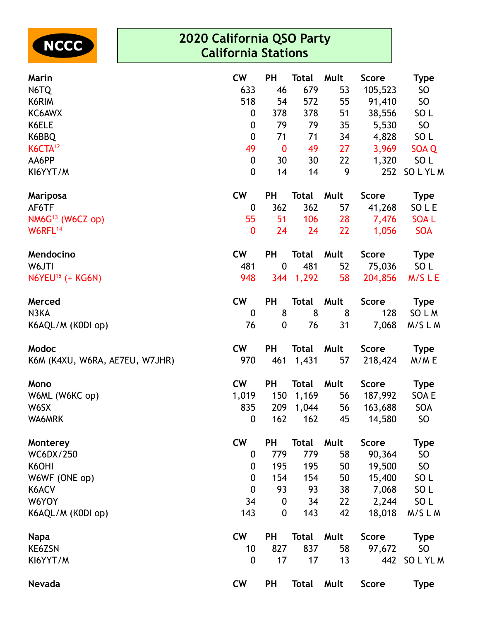

| Marin                          | <b>CW</b>        | <b>PH</b>        | <b>Total</b> | Mult | <b>Score</b> | <b>Type</b>     |
|--------------------------------|------------------|------------------|--------------|------|--------------|-----------------|
| N6TQ                           | 633              | 46               | 679          | 53   | 105,523      | SO              |
| K6RIM                          | 518              | 54               | 572          | 55   | 91,410       | SO              |
| KC6AWX                         | $\boldsymbol{0}$ | 378              | 378          | 51   | 38,556       | SO <sub>L</sub> |
| K6ELE                          | $\boldsymbol{0}$ | 79               | 79           | 35   | 5,530        | SO              |
| K6BBQ                          | $\boldsymbol{0}$ | 71               | 71           | 34   | 4,828        | SO <sub>L</sub> |
| K6CTA <sup>12</sup>            | 49               | $\bf{0}$         | 49           | 27   | 3,969        | SOA Q           |
| AA6PP                          | $\boldsymbol{0}$ | 30               | 30           | 22   | 1,320        | SO L            |
| KI6YYT/M                       | $\mathbf 0$      | 14               | 14           | 9    | 252          | SOLYLM          |
| <b>Mariposa</b>                | <b>CW</b>        | <b>PH</b>        | <b>Total</b> | Mult | <b>Score</b> | <b>Type</b>     |
| AF6TF                          | $\boldsymbol{0}$ | 362              | 362          | 57   | 41,268       | SO L E          |
| $NM6G13$ (W6CZ op)             | 55               | 51               | 106          | 28   | 7,476        | <b>SOAL</b>     |
| W6RFL <sup>14</sup>            | $\boldsymbol{0}$ | 24               | 24           | 22   | 1,056        | <b>SOA</b>      |
| Mendocino                      | <b>CW</b>        | <b>PH</b>        | Total        | Mult | <b>Score</b> | <b>Type</b>     |
| W6JTI                          | 481              | $\boldsymbol{0}$ | 481          | 52   | 75,036       | SO <sub>L</sub> |
| $N6YEU15$ (+ KG6N)             | 948              | 344              | 1,292        | 58   | 204,856      | M/SLE           |
| Merced                         | <b>CW</b>        | <b>PH</b>        | <b>Total</b> | Mult | <b>Score</b> | <b>Type</b>     |
| N3KA                           | $\boldsymbol{0}$ | 8                | 8            | 8    | 128          | SO L M          |
| K6AQL/M (K0DI op)              | 76               | 0                | 76           | 31   | 7,068        | M/SLM           |
| Modoc                          | <b>CW</b>        | PH               | <b>Total</b> | Mult | <b>Score</b> | <b>Type</b>     |
| K6M (K4XU, W6RA, AE7EU, W7JHR) | 970              | 461              | 1,431        | 57   | 218,424      | M/ME            |
| Mono                           | <b>CW</b>        | <b>PH</b>        | <b>Total</b> | Mult | <b>Score</b> | <b>Type</b>     |
| W6ML (W6KC op)                 | 1,019            | 150              | 1,169        | 56   | 187,992      | SOA E           |
| W6SX                           | 835              | 209              | 1,044        | 56   | 163,688      | SOA             |
| WA6MRK                         | $\bf{0}$         | 162              | 162          | 45   | 14,580       | SO <sub>1</sub> |
| Monterey                       | <b>CW</b>        | <b>PH</b>        | <b>Total</b> | Mult | <b>Score</b> | <b>Type</b>     |
| WC6DX/250                      | 0                | 779              | 779          | 58   | 90,364       | SO              |
| K6OHI                          | 0                | 195              | 195          | 50   | 19,500       | SO              |
| W6WF (ONE op)                  | $\boldsymbol{0}$ | 154              | 154          | 50   | 15,400       | SO <sub>L</sub> |
| K6ACV                          | $\boldsymbol{0}$ | 93               | 93           | 38   | 7,068        | SO <sub>L</sub> |
| W6YOY                          | 34               | $\boldsymbol{0}$ | 34           | 22   | 2,244        | SO <sub>L</sub> |
| K6AQL/M (K0DI op)              | 143              | 0                | 143          | 42   | 18,018       | M/SLM           |
| <b>Napa</b>                    | <b>CW</b>        | <b>PH</b>        | Total        | Mult | <b>Score</b> | <b>Type</b>     |
| KE6ZSN                         | 10               | 827              | 837          | 58   | 97,672       | SO              |
| KI6YYT/M                       | $\boldsymbol{0}$ | 17               | 17           | 13   |              | 442 SO L YL M   |
| Nevada                         | <b>CW</b>        | <b>PH</b>        | <b>Total</b> | Mult | <b>Score</b> | <b>Type</b>     |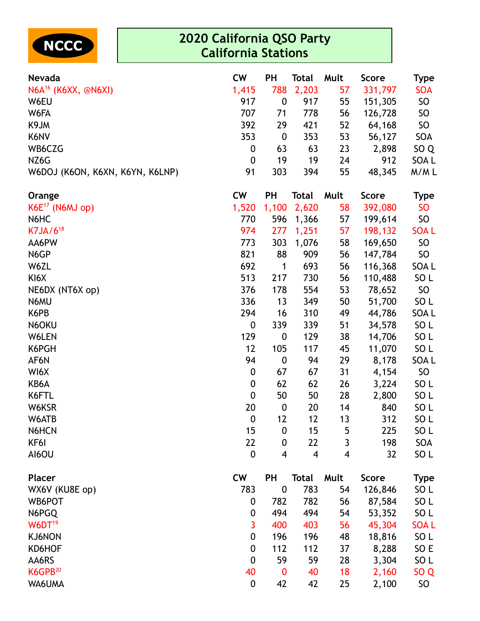

| <b>Nevada</b>                   | <b>CW</b>        | <b>PH</b>        | Total | Mult                     | <b>Score</b> | <b>Type</b>     |
|---------------------------------|------------------|------------------|-------|--------------------------|--------------|-----------------|
| N6A <sup>16</sup> (K6XX, @N6XI) | 1,415            | 788              | 2,203 | 57                       | 331,797      | <b>SOA</b>      |
| W6EU                            | 917              | $\boldsymbol{0}$ | 917   | 55                       | 151,305      | <b>SO</b>       |
| W6FA                            | 707              | 71               | 778   | 56                       | 126,728      | SO              |
| K9JM                            | 392              | 29               | 421   | 52                       | 64,168       | SO <sub>1</sub> |
| K6NV                            | 353              | $\boldsymbol{0}$ | 353   | 53                       | 56,127       | SOA             |
| WB6CZG                          | $\boldsymbol{0}$ | 63               | 63    | 23                       | 2,898        | SO <sub>Q</sub> |
| NZ6G                            | $\boldsymbol{0}$ | 19               | 19    | 24                       | 912          | SOA L           |
| W6DOJ (K6ON, K6XN, K6YN, K6LNP) | 91               | 303              | 394   | 55                       | 48,345       | M/ML            |
| Orange                          | <b>CW</b>        | PH               | Total | Mult                     | <b>Score</b> | <b>Type</b>     |
| $K6E^{17}$ (N6MJ op)            | 1,520            | 1,100            | 2,620 | 58                       | 392,080      | <b>SO</b>       |
| N6HC                            | 770              | 596              | 1,366 | 57                       | 199,614      | SO <sub>1</sub> |
| $K7JA/6^{18}$                   | 974              | 277              | 1,251 | 57                       | 198,132      | <b>SOAL</b>     |
| AA6PW                           | 773              | 303              | 1,076 | 58                       | 169,650      | SO <sub>1</sub> |
| N6GP                            | 821              | 88               | 909   | 56                       | 147,784      | SO              |
| W6ZL                            | 692              | 1                | 693   | 56                       | 116,368      | SOA L           |
| KI6X                            | 513              | 217              | 730   | 56                       | 110,488      | SO <sub>L</sub> |
| NE6DX (NT6X op)                 | 376              | 178              | 554   | 53                       | 78,652       | SO              |
| N6MU                            | 336              | 13               | 349   | 50                       | 51,700       | SO <sub>L</sub> |
| K6PB                            | 294              | 16               | 310   | 49                       | 44,786       | SOA L           |
| N6OKU                           | $\boldsymbol{0}$ | 339              | 339   | 51                       | 34,578       | SO <sub>L</sub> |
| W6LEN                           | 129              | $\boldsymbol{0}$ | 129   | 38                       | 14,706       | SO <sub>L</sub> |
| K6PGH                           | 12               | 105              | 117   | 45                       | 11,070       | SO <sub>L</sub> |
| AF6N                            | 94               | $\mathbf 0$      | 94    | 29                       | 8,178        | SOA L           |
| WI6X                            | $\boldsymbol{0}$ | 67               | 67    | 31                       | 4,154        | SO <sub>1</sub> |
| KB6A                            | $\boldsymbol{0}$ | 62               | 62    | 26                       | 3,224        | SO <sub>L</sub> |
| K6FTL                           | $\boldsymbol{0}$ | 50               | 50    | 28                       | 2,800        | SO <sub>L</sub> |
| W6KSR                           | 20               | $\boldsymbol{0}$ | 20    | 14                       | 840          | SO <sub>L</sub> |
| W6ATB                           | $\boldsymbol{0}$ | 12               | 12    | 13                       | 312          | SO <sub>L</sub> |
| N6HCN                           | 15               | $\boldsymbol{0}$ | 15    | 5                        | 225          | SO <sub>L</sub> |
| KF6I                            | 22               | $\boldsymbol{0}$ | 22    | 3                        | 198          | SOA             |
| AI6OU                           | $\mathbf 0$      | 4                | 4     | $\overline{\mathcal{A}}$ | 32           | SO <sub>L</sub> |
| <b>Placer</b>                   | <b>CW</b>        | PH               | Total | Mult                     | <b>Score</b> | <b>Type</b>     |
| WX6V (KU8E op)                  | 783              | $\boldsymbol{0}$ | 783   | 54                       | 126,846      | SO L            |
| WB6POT                          | $\mathbf 0$      | 782              | 782   | 56                       | 87,584       | SO <sub>L</sub> |
| N6PGQ                           | 0                | 494              | 494   | 54                       | 53,352       | SO <sub>L</sub> |
| W6DT <sup>19</sup>              | 3                | 400              | 403   | 56                       | 45,304       | <b>SOAL</b>     |
| KJ6NON                          | $\boldsymbol{0}$ | 196              | 196   | 48                       | 18,816       | SO <sub>L</sub> |
| KD6HOF                          | $\boldsymbol{0}$ | 112              | 112   | 37                       | 8,288        | SO E            |
| AA6RS                           | $\boldsymbol{0}$ | 59               | 59    | 28                       | 3,304        | SO L            |
| K6GPB <sup>20</sup>             | 40               | $\bf{0}$         | 40    | 18                       | 2,160        | SO <sub>Q</sub> |
| WA6UMA                          | $\boldsymbol{0}$ | 42               | 42    | 25                       | 2,100        | SO              |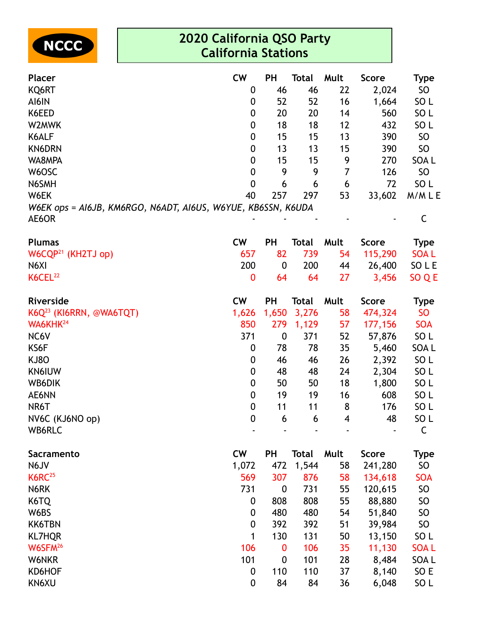

| <b>Placer</b>                                                | <b>CW</b>        | <b>PH</b>        | <b>Total</b> | Mult           | <b>Score</b> | <b>Type</b>     |
|--------------------------------------------------------------|------------------|------------------|--------------|----------------|--------------|-----------------|
| KQ6RT                                                        | 0                | 46               | 46           | 22             | 2,024        | SO <sub>1</sub> |
| AI6IN                                                        | 0                | 52               | 52           | 16             | 1,664        | SO <sub>L</sub> |
| K6EED                                                        | 0                | 20               | 20           | 14             | 560          | SO <sub>L</sub> |
| W2MWK                                                        | 0                | 18               | 18           | 12             | 432          | SO <sub>L</sub> |
| K6ALF                                                        | 0                | 15               | 15           | 13             | 390          | <b>SO</b>       |
| <b>KN6DRN</b>                                                | 0                | 13               | 13           | 15             | 390          | <b>SO</b>       |
| WA8MPA                                                       | 0                | 15               | 15           | 9              | 270          | SOA L           |
| W6OSC                                                        | 0                | 9                | 9            | $\overline{7}$ | 126          | <b>SO</b>       |
| N6SMH                                                        | 0                | 6                | 6            | 6              | 72           | SO <sub>L</sub> |
| W6EK                                                         | 40               | 257              | 297          | 53             | 33,602       | M/MLE           |
| W6EK ops = AI6JB, KM6RGO, N6ADT, AI6US, W6YUE, KB6SSN, K6UDA |                  |                  |              |                |              |                 |
| AE6OR                                                        |                  |                  |              |                |              | $\mathsf C$     |
| <b>Plumas</b>                                                | <b>CW</b>        | <b>PH</b>        | <b>Total</b> | Mult           | <b>Score</b> | <b>Type</b>     |
| $W6CQP^{21}$ (KH2TJ op)                                      | 657              | 82               | 739          | 54             | 115,290      | <b>SOAL</b>     |
| N6XI                                                         | 200              | $\boldsymbol{0}$ | 200          | 44             | 26,400       | SO L E          |
| K6CEL <sup>22</sup>                                          | 0                | 64               | 64           | 27             | 3,456        | SO Q E          |
| Riverside                                                    | <b>CW</b>        | <b>PH</b>        | <b>Total</b> | Mult           | <b>Score</b> | <b>Type</b>     |
| $K6Q^{23}$ (KI6RRN, @WA6TQT)                                 | 1,626            | 1,650            | 3,276        | 58             | 474,324      | <b>SO</b>       |
| WA6KHK <sup>24</sup>                                         | 850              | 279              | 1,129        | 57             | 177,156      | <b>SOA</b>      |
| NC6V                                                         | 371              | $\boldsymbol{0}$ | 371          | 52             | 57,876       | SO <sub>L</sub> |
| KS6F                                                         | 0                | 78               | 78           | 35             | 5,460        | SOA L           |
| <b>KJ80</b>                                                  | 0                | 46               | 46           | 26             | 2,392        | SO <sub>L</sub> |
| <b>KN6IUW</b>                                                | 0                | 48               | 48           | 24             | 2,304        | SO <sub>L</sub> |
| WB6DIK                                                       | 0                | 50               | 50           | 18             | 1,800        | SO <sub>L</sub> |
| AE6NN                                                        | 0                | 19               | 19           | 16             | 608          | SO <sub>L</sub> |
| NR6T                                                         | $\boldsymbol{0}$ | 11               | 11           | 8              | 176          | SO <sub>L</sub> |
| NV6C (KJ6NO op)                                              | $\Omega$         | 6                | 6.           | 4              | 48           | SO <sub>L</sub> |
| WB6RLC                                                       |                  |                  |              |                |              | $\mathsf C$     |
| Sacramento                                                   | <b>CW</b>        | <b>PH</b>        | <b>Total</b> | Mult           | <b>Score</b> | <b>Type</b>     |
| N6JV                                                         | 1,072            | 472              | 1,544        | 58             | 241,280      | <b>SO</b>       |
| K6RC <sup>25</sup>                                           | 569              | 307              | 876          | 58             | 134,618      | <b>SOA</b>      |
| N6RK                                                         | 731              | $\boldsymbol{0}$ | 731          | 55             | 120,615      | <b>SO</b>       |
| K6TQ                                                         | 0                | 808              | 808          | 55             | 88,880       | <b>SO</b>       |
| W6BS                                                         | 0                | 480              | 480          | 54             | 51,840       | <b>SO</b>       |
| <b>KK6TBN</b>                                                | $\boldsymbol{0}$ | 392              | 392          | 51             | 39,984       | <b>SO</b>       |
| <b>KL7HQR</b>                                                | 1                | 130              | 131          | 50             | 13,150       | SO <sub>L</sub> |
| W6SFM <sup>26</sup>                                          | 106              | 0                | 106          | 35             | 11,130       | <b>SOAL</b>     |
| W6NKR                                                        | 101              | $\boldsymbol{0}$ | 101          | 28             | 8,484        | SOA L           |
| KD6HOF                                                       | 0                | 110              | 110          | 37             | 8,140        | SO E            |
| KN6XU                                                        | 0                | 84               | 84           | 36             | 6,048        | SO <sub>L</sub> |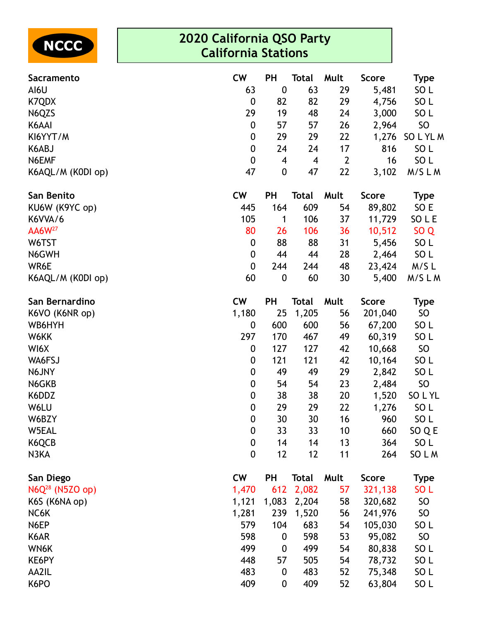

| <b>Sacramento</b>           | <b>CW</b>        | PH                       | <b>Total</b>   | Mult           | <b>Score</b> | <b>Type</b>     |
|-----------------------------|------------------|--------------------------|----------------|----------------|--------------|-----------------|
| AI6U                        | 63               | $\boldsymbol{0}$         | 63             | 29             | 5,481        | SO <sub>L</sub> |
| K7QDX                       | $\boldsymbol{0}$ | 82                       | 82             | 29             | 4,756        | SO <sub>L</sub> |
| N6QZS                       | 29               | 19                       | 48             | 24             | 3,000        | SO <sub>L</sub> |
| K6AAI                       | $\boldsymbol{0}$ | 57                       | 57             | 26             | 2,964        | SO              |
| KI6YYT/M                    | $\boldsymbol{0}$ | 29                       | 29             | 22             | 1,276        | SO L YL M       |
| K6ABJ                       | $\pmb{0}$        | 24                       | 24             | 17             | 816          | SO <sub>L</sub> |
| N6EMF                       | $\boldsymbol{0}$ | $\overline{\mathcal{A}}$ | $\overline{4}$ | $\overline{2}$ | 16           | SO <sub>L</sub> |
| K6AQL/M (K0DI op)           | 47               | $\boldsymbol{0}$         | 47             | 22             | 3,102        | M/SLM           |
| San Benito                  | <b>CW</b>        | <b>PH</b>                | <b>Total</b>   | Mult           | <b>Score</b> | <b>Type</b>     |
| KU6W (K9YC op)              | 445              | 164                      | 609            | 54             | 89,802       | SO E            |
| K6VVA/6                     | 105              | 1                        | 106            | 37             | 11,729       | SO L E          |
| AA6W <sup>27</sup>          | 80               | 26                       | 106            | 36             | 10,512       | SO <sub>Q</sub> |
| W6TST                       | $\boldsymbol{0}$ | 88                       | 88             | 31             | 5,456        | SO <sub>L</sub> |
| N6GWH                       | $\boldsymbol{0}$ | 44                       | 44             | 28             | 2,464        | SO <sub>L</sub> |
| WR6E                        | $\pmb{0}$        | 244                      | 244            | 48             | 23,424       | M/SL            |
| K6AQL/M (K0DI op)           | 60               | $\boldsymbol{0}$         | 60             | 30             | 5,400        | M/SLM           |
| San Bernardino              | <b>CW</b>        | PH                       | <b>Total</b>   | Mult           | <b>Score</b> | <b>Type</b>     |
| K6VO (K6NR op)              | 1,180            | 25                       | 1,205          | 56             | 201,040      | SO              |
| WB6HYH                      | $\boldsymbol{0}$ | 600                      | 600            | 56             | 67,200       | SO <sub>L</sub> |
| W6KK                        | 297              | 170                      | 467            | 49             | 60,319       | SO <sub>L</sub> |
| WI6X                        | $\boldsymbol{0}$ | 127                      | 127            | 42             | 10,668       | SO              |
| WA6FSJ                      | $\boldsymbol{0}$ | 121                      | 121            | 42             | 10,164       | SO <sub>L</sub> |
| N6JNY                       | $\boldsymbol{0}$ | 49                       | 49             | 29             | 2,842        | SO <sub>L</sub> |
| N6GKB                       | $\boldsymbol{0}$ | 54                       | 54             | 23             | 2,484        | SO              |
| K6DDZ                       | $\boldsymbol{0}$ | 38                       | 38             | 20             | 1,520        | SO L YL         |
| W6LU                        | ${\bf 0}$        | 29                       | 29             | 22             | 1,276        | SO <sub>L</sub> |
| W6BZY                       | $\mathbf 0$      | 30                       | 30             | 16             | 960          | SO <sub>L</sub> |
| W5EAL                       | $\boldsymbol{0}$ | 33                       | 33             | 10             | 660          | SO Q E          |
| K6QCB                       | $\boldsymbol{0}$ | 14                       | 14             | 13             | 364          | SO <sub>L</sub> |
| N3KA                        | $\mathbf 0$      | 12                       | 12             | 11             | 264          | SO L M          |
| San Diego                   | <b>CW</b>        | <b>PH</b>                | <b>Total</b>   | Mult           | <b>Score</b> | <b>Type</b>     |
| N6Q <sup>28</sup> (N5ZO op) | 1,470            | 612                      | 2,082          | 57             | 321,138      | SO <sub>L</sub> |
| K6S (K6NA op)               | 1,121            | 1,083                    | 2,204          | 58             | 320,682      | SO <sub>1</sub> |
| NC6K                        | 1,281            | 239                      | 1,520          | 56             | 241,976      | SO              |
| N6EP                        | 579              | 104                      | 683            | 54             | 105,030      | SO <sub>L</sub> |
| K6AR                        | 598              | $\boldsymbol{0}$         | 598            | 53             | 95,082       | SO              |
| WN6K                        | 499              | $\boldsymbol{0}$         | 499            | 54             | 80,838       | SO <sub>L</sub> |
| KE6PY                       | 448              | 57                       | 505            | 54             | 78,732       | SO <sub>L</sub> |
| AA2IL                       | 483              | $\boldsymbol{0}$         | 483            | 52             | 75,348       | SO <sub>L</sub> |
| K6PO                        | 409              | $\boldsymbol{0}$         | 409            | 52             | 63,804       | SO <sub>L</sub> |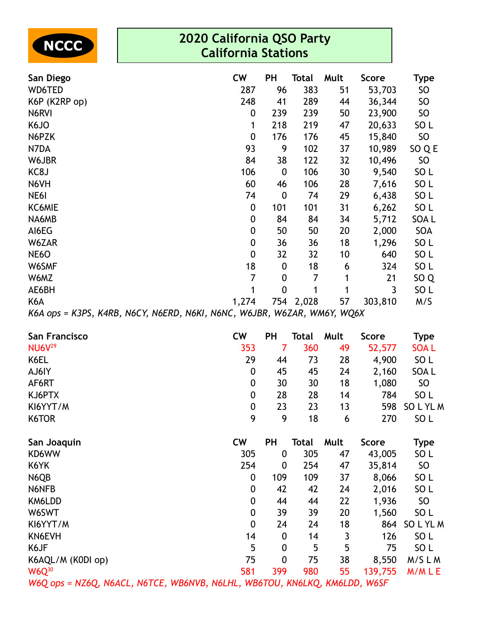| 2020 California QSO Party<br><b>NCCC</b><br><b>California Stations</b> |  |  |  |  |                  |                  |           |                                    |         |                  |  |
|------------------------------------------------------------------------|--|--|--|--|------------------|------------------|-----------|------------------------------------|---------|------------------|--|
| San Diego                                                              |  |  |  |  | <b>CW</b>        | PH               | Total     | Mult                               | Score   | <b>Type</b>      |  |
| WD6TED                                                                 |  |  |  |  | 287              | 96               | 383       | 51                                 | 53,703  | <b>SO</b>        |  |
| K6P (K2RP op)                                                          |  |  |  |  | 248              | 41               | 289       | 44                                 | 36,344  | SO               |  |
| N6RVI                                                                  |  |  |  |  | 0                | 239              | 239       | 50                                 | 23,900  | SO               |  |
| K6JO                                                                   |  |  |  |  | 1                | 218              | 219       | 47                                 | 20,633  | SO <sub>L</sub>  |  |
| N6PZK                                                                  |  |  |  |  | $\boldsymbol{0}$ | 176              | 176       | 45                                 | 15,840  | <b>SO</b>        |  |
| N7DA                                                                   |  |  |  |  | 93               | 9                | 102       | 37                                 | 10,989  | SO Q E           |  |
| W6JBR                                                                  |  |  |  |  | 84               | 38               | 122       | 32                                 | 10,496  | <b>SO</b>        |  |
| KC8J                                                                   |  |  |  |  | 106              | $\boldsymbol{0}$ | 106       | 30                                 | 9,540   | SO <sub>L</sub>  |  |
| N6VH                                                                   |  |  |  |  | 60               | 46               | 106       | 28                                 | 7,616   | SO <sub>L</sub>  |  |
| NE6I                                                                   |  |  |  |  | 74               | $\boldsymbol{0}$ | 74        | 29                                 | 6,438   | SO <sub>L</sub>  |  |
| KC6MIE                                                                 |  |  |  |  | 0                | 101              | 101       | 31                                 | 6,262   | SO <sub>L</sub>  |  |
| NA6MB                                                                  |  |  |  |  | 0                | 84               | 84        | 34                                 | 5,712   | SOA <sub>L</sub> |  |
| AI6EG                                                                  |  |  |  |  | 0                | 50               | 50        | 20                                 | 2,000   | SOA              |  |
| W6ZAR                                                                  |  |  |  |  | $\boldsymbol{0}$ | 36               | 36        | 18                                 | 1,296   | SO <sub>L</sub>  |  |
| <b>NE6O</b>                                                            |  |  |  |  | $\boldsymbol{0}$ | 32               | 32        | 10                                 | 640     | SO <sub>L</sub>  |  |
| W6SMF                                                                  |  |  |  |  | 18               | $\boldsymbol{0}$ | 18        | 6                                  | 324     | SO <sub>L</sub>  |  |
| W6MZ                                                                   |  |  |  |  | 7                | $\boldsymbol{0}$ | 7         | 1                                  | 21      | SO <sub>Q</sub>  |  |
| AE6BH                                                                  |  |  |  |  | 1                | $\mathbf 0$      | 1         | 1                                  | 3       | SO <sub>L</sub>  |  |
| K6A                                                                    |  |  |  |  | 1,274            |                  | 754 2,028 | 57                                 | 303,810 | M/S              |  |
| $KAA$ ons - $K2DC$ $KABR$ $NACV$ $NAEDD$ $NKU$ $NKNC$ $NKBD$           |  |  |  |  |                  |                  |           | <i><b>INGTAD INIMALY INCLY</b></i> |         |                  |  |

*K6A ops = K3PS, K4RB, N6CY, N6ERD, N6KI, N6NC, W6JBR, W6ZAR, WM6Y, WQ6X*

| San Francisco                                                             | <b>CW</b>        | <b>PH</b>        | Total        | Mult | Score        | <b>Type</b>     |
|---------------------------------------------------------------------------|------------------|------------------|--------------|------|--------------|-----------------|
| <b>NU6V29</b>                                                             | 353              | 7                | 360          | 49   | 52,577       | <b>SOAL</b>     |
| K6EL                                                                      | 29               | 44               | 73           | 28   | 4,900        | SO <sub>L</sub> |
| AJ6IY                                                                     | $\boldsymbol{0}$ | 45               | 45           | 24   | 2,160        | SOA L           |
| AF6RT                                                                     | $\boldsymbol{0}$ | 30               | 30           | 18   | 1,080        | SO              |
| KJ6PTX                                                                    | $\boldsymbol{0}$ | 28               | 28           | 14   | 784          | SO <sub>L</sub> |
| KI6YYT/M                                                                  | $\boldsymbol{0}$ | 23               | 23           | 13   | 598          | SOLYLM          |
| K6TOR                                                                     | 9                | 9                | 18           | 6    | 270          | SO <sub>L</sub> |
| San Joaquin                                                               | <b>CW</b>        | PH               | <b>Total</b> | Mult | <b>Score</b> | <b>Type</b>     |
| KD6WW                                                                     | 305              | 0                | 305          | 47   | 43,005       | SO L            |
| K6YK                                                                      | 254              | 0                | 254          | 47   | 35,814       | SO              |
| N6QB                                                                      | 0                | 109              | 109          | 37   | 8,066        | SO <sub>L</sub> |
| N6NFB                                                                     | $\boldsymbol{0}$ | 42               | 42           | 24   | 2,016        | SO <sub>L</sub> |
| KM6LDD                                                                    | $\boldsymbol{0}$ | 44               | 44           | 22   | 1,936        | SO              |
| W6SWT                                                                     | $\boldsymbol{0}$ | 39               | 39           | 20   | 1,560        | SO <sub>L</sub> |
| KI6YYT/M                                                                  | $\boldsymbol{0}$ | 24               | 24           | 18   | 864          | SOLYLM          |
| KN6EVH                                                                    | 14               | $\boldsymbol{0}$ | 14           | 3    | 126          | SO <sub>L</sub> |
| K6JF                                                                      | 5                | 0                | 5            | 5    | 75           | SO <sub>L</sub> |
| K6AQL/M (K0DI op)                                                         | 75               | $\boldsymbol{0}$ | 75           | 38   | 8,550        | M/SLM           |
| $W6Q^{30}$                                                                | 581              | 399              | 980          | 55   | 139,755      | M/MLE           |
| W6Q ops = NZ6Q, N6ACL, N6TCE, WB6NVB, N6LHL, WB6TOU, KN6LKQ, KM6LDD, W6SF |                  |                  |              |      |              |                 |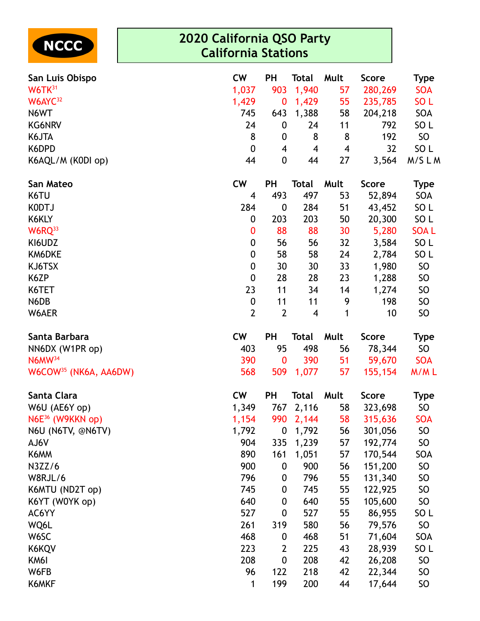| <b>NCCC</b>                       | 2020 California QSO Party<br><b>California Stations</b> |                  |              |                         |              |                 |  |  |
|-----------------------------------|---------------------------------------------------------|------------------|--------------|-------------------------|--------------|-----------------|--|--|
| San Luis Obispo                   | <b>CW</b>                                               | PH               | <b>Total</b> | Mult                    | <b>Score</b> | Type            |  |  |
| W6TK31                            | 1,037                                                   | 903              | 1,940        | 57                      | 280,269      | <b>SOA</b>      |  |  |
| W6AYC <sup>32</sup>               | 1,429                                                   | $\bf{0}$         | 1,429        | 55                      | 235,785      | SO <sub>L</sub> |  |  |
| N6WT                              | 745                                                     | 643              | 1,388        | 58                      | 204,218      | SOA             |  |  |
| <b>KG6NRV</b>                     | 24                                                      | $\boldsymbol{0}$ | 24           | 11                      | 792          | SO <sub>L</sub> |  |  |
| K6JTA                             | 8                                                       | 0                | 8            | 8                       | 192          | <b>SO</b>       |  |  |
| K6DPD                             | $\mathbf{0}$                                            | 4                | 4            | $\overline{\mathbf{4}}$ | 32           | SO <sub>L</sub> |  |  |
| K6AQL/M (K0DI op)                 | 44                                                      | $\boldsymbol{0}$ | 44           | 27                      | 3,564        | M/SLM           |  |  |
| San Mateo                         | <b>CW</b>                                               | PH               | <b>Total</b> | Mult                    | <b>Score</b> | <b>Type</b>     |  |  |
| K6TU                              | 4                                                       | 493              | 497          | 53                      | 52,894       | SOA             |  |  |
| K0DTJ                             | 284                                                     | $\boldsymbol{0}$ | 284          | 51                      | 43,452       | SO <sub>L</sub> |  |  |
| K6KLY                             | 0                                                       | 203              | 203          | 50                      | 20,300       | SO <sub>L</sub> |  |  |
| W6RQ <sup>33</sup>                | $\boldsymbol{0}$                                        | 88               | 88           | 30                      | 5,280        | <b>SOAL</b>     |  |  |
| KI6UDZ                            | $\mathbf 0$                                             | 56               | 56           | 32                      | 3,584        | SO <sub>L</sub> |  |  |
| KM6DKE                            | $\boldsymbol{0}$                                        | 58               | 58           | 24                      | 2,784        | SO <sub>L</sub> |  |  |
| KJ6TSX                            | $\boldsymbol{0}$                                        | 30               | 30           | 33                      | 1,980        | <b>SO</b>       |  |  |
| K6ZP                              | $\boldsymbol{0}$                                        | 28               | 28           | 23                      | 1,288        | SO              |  |  |
| K6TET                             | 23                                                      | 11               | 34           | 14                      | 1,274        | <b>SO</b>       |  |  |
| N6DB                              | $\boldsymbol{0}$                                        | 11               | 11           | 9                       | 198          | <b>SO</b>       |  |  |
| W6AER                             | $\overline{2}$                                          | $\overline{2}$   | 4            | 1                       | 10           | <b>SO</b>       |  |  |
| Santa Barbara                     | <b>CW</b>                                               | PH               | <b>Total</b> | Mult                    | <b>Score</b> | <b>Type</b>     |  |  |
| NN6DX (W1PR op)                   | 403                                                     | 95               | 498          | 56                      | 78,344       | SO              |  |  |
| N6MW <sup>34</sup>                | 390                                                     | $\bf{0}$         | 390          | 51                      | 59,670       | <b>SOA</b>      |  |  |
| W6COW <sup>35</sup> (NK6A, AA6DW) | 568                                                     | 509              | 1,077        | 57                      | 155,154      | M/ML            |  |  |
| Santa Clara                       | <b>CW</b>                                               | <b>PH</b>        | <b>Total</b> | Mult                    | <b>Score</b> | Type            |  |  |
| W6U (AE6Y op)                     | 1,349                                                   | 767              | 2,116        | 58                      | 323,698      | <b>SO</b>       |  |  |
| $N6E^{36}$ (W9KKN op)             | 1,154                                                   | 990              | 2,144        | 58                      | 315,636      | <b>SOA</b>      |  |  |
| N6U (N6TV, @N6TV)                 | 1,792                                                   | $\boldsymbol{0}$ | 1,792        | 56                      | 301,056      | <b>SO</b>       |  |  |
| AJ6V                              | 904                                                     | 335              | 1,239        | 57                      | 192,774      | SO              |  |  |
| K6MM                              | 890                                                     | 161              | 1,051        | 57                      | 170,544      | SOA             |  |  |
| N3ZZ/6                            | 900                                                     | $\boldsymbol{0}$ | 900          | 56                      | 151,200      | <b>SO</b>       |  |  |
| W8RJL/6                           | 796                                                     | 0                | 796          | 55                      | 131,340      | SO              |  |  |
| K6MTU (ND2T op)                   | 745                                                     | 0                | 745          | 55                      | 122,925      | SO              |  |  |
| K6YT (W0YK op)                    | 640                                                     | 0                | 640          | 55                      | 105,600      | SO              |  |  |
| AC6YY                             | 527                                                     | $\boldsymbol{0}$ | 527          | 55                      | 86,955       | SO <sub>L</sub> |  |  |
| WQ6L                              | 261                                                     | 319              | 580          | 56                      | 79,576       | <b>SO</b>       |  |  |
| W6SC                              | 468                                                     | $\boldsymbol{0}$ | 468          | 51                      | 71,604       | SOA             |  |  |
| K6KQV                             | 223                                                     | $\overline{2}$   | 225          | 43                      | 28,939       | SO <sub>L</sub> |  |  |
| KM6I                              | 208                                                     | $\boldsymbol{0}$ | 208          | 42                      | 26,208       | <b>SO</b>       |  |  |
| W6FB                              | 96<br>1                                                 | 122<br>199       | 218<br>200   | 42                      | 22,344       | SO              |  |  |
| K6MKF                             |                                                         |                  |              | 44                      | 17,644       | SO              |  |  |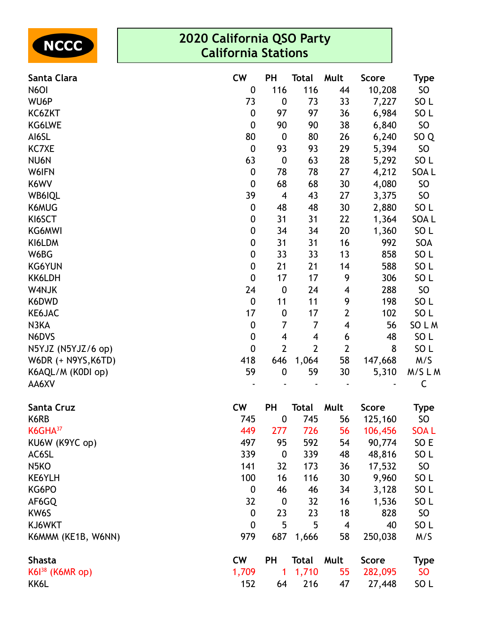| NCCC ) |
|--------|
|--------|

| Santa Clara         | <b>CW</b>        | PH                       | <b>Total</b>   | Mult                     | <b>Score</b> | Type            |
|---------------------|------------------|--------------------------|----------------|--------------------------|--------------|-----------------|
| N6OI                | $\boldsymbol{0}$ | 116                      | 116            | 44                       | 10,208       | <b>SO</b>       |
| WU6P                | 73               | $\boldsymbol{0}$         | 73             | 33                       | 7,227        | SO <sub>L</sub> |
| KC6ZKT              | $\boldsymbol{0}$ | 97                       | 97             | 36                       | 6,984        | SO <sub>L</sub> |
| KG6LWE              | $\boldsymbol{0}$ | 90                       | 90             | 38                       | 6,840        | <b>SO</b>       |
| AI6SL               | 80               | $\boldsymbol{0}$         | 80             | 26                       | 6,240        | SO <sub>Q</sub> |
| <b>KC7XE</b>        | $\boldsymbol{0}$ | 93                       | 93             | 29                       | 5,394        | <b>SO</b>       |
| NU6N                | 63               | $\boldsymbol{0}$         | 63             | 28                       | 5,292        | SO <sub>L</sub> |
| W6IFN               | $\boldsymbol{0}$ | 78                       | 78             | 27                       | 4,212        | SOA L           |
| K6WV                | $\boldsymbol{0}$ | 68                       | 68             | 30                       | 4,080        | <b>SO</b>       |
| WB6IQL              | 39               | $\overline{\mathcal{A}}$ | 43             | 27                       | 3,375        | <b>SO</b>       |
| K6MUG               | $\boldsymbol{0}$ | 48                       | 48             | 30                       | 2,880        | SO <sub>L</sub> |
| KI6SCT              | $\boldsymbol{0}$ | 31                       | 31             | 22                       | 1,364        | SOA L           |
| <b>KG6MWI</b>       | $\boldsymbol{0}$ | 34                       | 34             | 20                       | 1,360        | SO <sub>L</sub> |
| KI6LDM              | $\boldsymbol{0}$ | 31                       | 31             | 16                       | 992          | SOA             |
| W6BG                | $\boldsymbol{0}$ | 33                       | 33             | 13                       | 858          | SO <sub>L</sub> |
| <b>KG6YUN</b>       | $\boldsymbol{0}$ | 21                       | 21             | 14                       | 588          | SO <sub>L</sub> |
| KK6LDH              | $\mathbf 0$      | 17                       | 17             | 9                        | 306          | SO <sub>L</sub> |
| W4NJK               | 24               | $\boldsymbol{0}$         | 24             | 4                        | 288          | <b>SO</b>       |
| K6DWD               | $\mathbf 0$      | 11                       | 11             | 9                        | 198          | SO <sub>L</sub> |
| KE6JAC              | 17               | $\boldsymbol{0}$         | 17             | $\overline{2}$           | 102          | SO <sub>L</sub> |
| N3KA                | $\boldsymbol{0}$ | $\overline{7}$           | 7              | $\overline{\mathbf{4}}$  | 56           | SO L M          |
| N6DVS               | $\boldsymbol{0}$ | 4                        | 4              | 6                        | 48           | SO <sub>L</sub> |
| N5YJZ (N5YJZ/6 op)  | 0                | $\overline{2}$           | $\overline{2}$ | $\mathbf{2}$             | 8            | SO <sub>L</sub> |
| W6DR (+ N9YS, K6TD) | 418              | 646                      | 1,064          | 58                       | 147,668      | M/S             |
| K6AQL/M (K0DI op)   | 59               | $\boldsymbol{0}$         | 59             | 30                       | 5,310        | M/SLM           |
| AA6XV               |                  |                          |                |                          |              | C               |
| Santa Cruz          | <b>CW</b>        | PH                       | <b>Total</b>   | Mult                     | <b>Score</b> | Type            |
| K6RB                | 745              | $\boldsymbol{0}$         | 745            | 56                       | 125,160      | SO              |
| KGHA <sup>37</sup>  | 449              | 277                      | 726            | 56                       | 106,456      | <b>SOAL</b>     |
| KU6W (K9YC op)      | 497              | 95                       | 592            | 54                       | 90,774       | SO E            |
| AC6SL               | 339              | $\boldsymbol{0}$         | 339            | 48                       | 48,816       | SO <sub>L</sub> |
| N <sub>5</sub> KO   | 141              | 32                       | 173            | 36                       | 17,532       | <b>SO</b>       |
| KE6YLH              | 100              | 16                       | 116            | 30                       | 9,960        | SO <sub>L</sub> |
| KG6PO               | $\boldsymbol{0}$ | 46                       | 46             | 34                       | 3,128        | SO <sub>L</sub> |
| AF6GQ               | 32               | $\boldsymbol{0}$         | 32             | 16                       | 1,536        | SO <sub>L</sub> |
| KW6S                | $\boldsymbol{0}$ | 23                       | 23             | 18                       | 828          | <b>SO</b>       |
| KJ6WKT              | $\boldsymbol{0}$ | 5                        | 5              | $\overline{\mathcal{A}}$ | 40           | SO <sub>L</sub> |
| K6MMM (KE1B, W6NN)  | 979              | 687                      | 1,666          | 58                       | 250,038      | M/S             |
| <b>Shasta</b>       | <b>CW</b>        | <b>PH</b>                | <b>Total</b>   | Mult                     | <b>Score</b> | <b>Type</b>     |
| K6138 (K6MR op)     | 1,709            | 1                        | 1,710          | 55                       | 282,095      | <b>SO</b>       |
| KK6L                | 152              | 64                       | 216            | 47                       | 27,448       | SO <sub>L</sub> |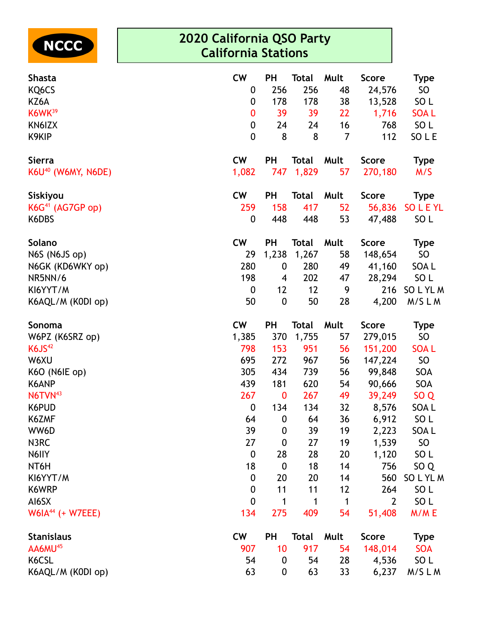

| <b>Shasta</b>                  | <b>CW</b>        | <b>PH</b>        | <b>Total</b> | Mult        | <b>Score</b>   | <b>Type</b>     |
|--------------------------------|------------------|------------------|--------------|-------------|----------------|-----------------|
| KQ6CS                          | $\boldsymbol{0}$ | 256              | 256          | 48          | 24,576         | SO              |
| KZ6A                           | $\boldsymbol{0}$ | 178              | 178          | 38          | 13,528         | SO <sub>L</sub> |
| K6WK <sup>39</sup>             | $\bf{0}$         | 39               | 39           | 22          | 1,716          | <b>SOAL</b>     |
| KN6IZX                         | $\boldsymbol{0}$ | 24               | 24           | 16          | 768            | SO <sub>L</sub> |
| K9KIP                          | $\boldsymbol{0}$ | 8                | 8            | 7           | 112            | SO L E          |
| <b>Sierra</b>                  | <b>CW</b>        | <b>PH</b>        | <b>Total</b> | Mult        | <b>Score</b>   | <b>Type</b>     |
| K6U <sup>40</sup> (W6MY, N6DE) | 1,082            | 747              | 1,829        | 57          | 270,180        | M/S             |
| Siskiyou                       | cw               | <b>PH</b>        | <b>Total</b> | Mult        | <b>Score</b>   | <b>Type</b>     |
| KG <sup>41</sup> (AG7GP op)    | 259              | 158              | 417          | 52          | 56,836         | <b>SOLEYL</b>   |
| K6DBS                          | $\boldsymbol{0}$ | 448              | 448          | 53          | 47,488         | SO <sub>L</sub> |
| Solano                         | <b>CW</b>        | <b>PH</b>        | <b>Total</b> | Mult        | <b>Score</b>   | <b>Type</b>     |
| N6S (N6JS op)                  | 29               | 1,238            | 1,267        | 58          | 148,654        | SO <sub>1</sub> |
| N6GK (KD6WKY op)               | 280              | 0                | 280          | 49          | 41,160         | SOA L           |
| NR5NN/6                        | 198              | 4                | 202          | 47          | 28,294         | SO <sub>L</sub> |
| KI6YYT/M                       | $\boldsymbol{0}$ | 12               | 12           | 9           | 216            | SOLYLM          |
| K6AQL/M (K0DI op)              | 50               | $\boldsymbol{0}$ | 50           | 28          | 4,200          | M/SLM           |
| Sonoma                         | <b>CW</b>        | PH               | <b>Total</b> | Mult        | <b>Score</b>   | <b>Type</b>     |
| W6PZ (K6SRZ op)                | 1,385            | 370              | 1,755        | 57          | 279,015        | <b>SO</b>       |
| <b>K6JS42</b>                  | 798              | 153              | 951          | 56          | 151,200        | <b>SOAL</b>     |
| W6XU                           | 695              | 272              | 967          | 56          | 147,224        | <b>SO</b>       |
| K6O (N6IE op)                  | 305              | 434              | 739          | 56          | 99,848         | SOA             |
| K6ANP                          | 439              | 181              | 620          | 54          | 90,666         | SOA             |
| N6TVN <sup>43</sup>            | 267              | 0                | 267          | 49          | 39,249         | SO <sub>Q</sub> |
| K6PUD                          | $\boldsymbol{0}$ | 134              | 134          | 32          | 8,576          | SOA L           |
| K6ZMF                          | 64               | $\boldsymbol{0}$ | 64           | 36          | 6,912          | SO <sub>L</sub> |
| WW6D                           | 39               | $\boldsymbol{0}$ | 39           | 19          | 2,223          | SOA L           |
| N3RC                           | 27               | 0                | 27           | 19          | 1,539          | SO              |
| N6IIY                          | $\boldsymbol{0}$ | 28               | 28           | 20          | 1,120          | SO <sub>L</sub> |
| NT6H                           | 18               | $\boldsymbol{0}$ | 18           | 14          | 756            | SO <sub>Q</sub> |
| KI6YYT/M                       | $\boldsymbol{0}$ | 20               | 20           | 14          | 560            | SOLYLM          |
| K6WRP                          | $\boldsymbol{0}$ | 11               | 11           | 12          | 264            | SO <sub>L</sub> |
| AI6SX                          | $\boldsymbol{0}$ | 1                | 1            | $\mathbf 1$ | $\overline{2}$ | SO <sub>L</sub> |
| W6IA $44$ (+ W7EEE)            | 134              | 275              | 409          | 54          | 51,408         | M/ME            |
| <b>Stanislaus</b>              | <b>CW</b>        | PH               | <b>Total</b> | Mult        | <b>Score</b>   | <b>Type</b>     |
| AA6MU <sup>45</sup>            | 907              | 10               | 917          | 54          | 148,014        | <b>SOA</b>      |
| K6CSL                          | 54               | 0                | 54           | 28          | 4,536          | SO <sub>L</sub> |
| K6AQL/M (K0DI op)              | 63               | 0                | 63           | 33          | 6,237          | M/SLM           |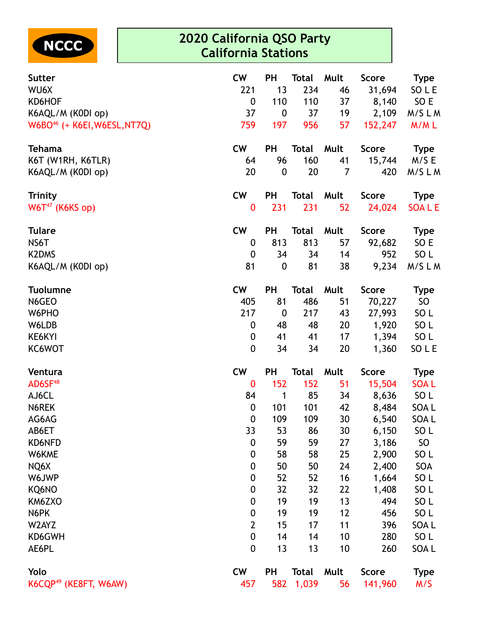

| <b>Sutter</b>                            | <b>CW</b>        | <b>PH</b>        | <b>Total</b> | Mult            | Score        | <b>Type</b>     |
|------------------------------------------|------------------|------------------|--------------|-----------------|--------------|-----------------|
| WU6X                                     | 221              | 13               | 234          | 46              | 31,694       | SO L E          |
| KD6HOF                                   | $\boldsymbol{0}$ | 110              | 110          | 37              | 8,140        | SO E            |
| K6AQL/M (K0DI op)                        | 37               | $\boldsymbol{0}$ | 37           | 19              | 2,109        | M/SLM           |
| W6BO <sup>46</sup> (+ K6EI, W6ESL, NT7Q) | 759              | 197              | 956          | 57              | 152,247      | M/ML            |
| <b>Tehama</b>                            | <b>CW</b>        | <b>PH</b>        | <b>Total</b> | Mult            | <b>Score</b> | <b>Type</b>     |
| K6T (W1RH, K6TLR)                        | 64               | 96               | 160          | 41              | 15,744       | M/SE            |
| K6AQL/M (K0DI op)                        | 20               | $\boldsymbol{0}$ | 20           | $\overline{7}$  | 420          | M/SLM           |
| <b>Trinity</b>                           | <b>CW</b>        | <b>PH</b>        | <b>Total</b> | Mult            | <b>Score</b> | Type            |
| $W6T^{47}$ (K6KS op)                     | $\boldsymbol{0}$ | 231              | 231          | 52              | 24,024       | <b>SOALE</b>    |
| <b>Tulare</b>                            | <b>CW</b>        | <b>PH</b>        | <b>Total</b> | Mult            | <b>Score</b> | <b>Type</b>     |
| NS6T                                     | 0                | 813              | 813          | 57              | 92,682       | SO E            |
| <b>K2DMS</b>                             | $\mathbf 0$      | 34               | 34           | 14              | 952          | SO <sub>L</sub> |
| K6AQL/M (K0DI op)                        | 81               | $\boldsymbol{0}$ | 81           | 38              | 9,234        | M/SLM           |
| <b>Tuolumne</b>                          | <b>CW</b>        | PH               | <b>Total</b> | Mult            | <b>Score</b> | <b>Type</b>     |
| N6GEO                                    | 405              | 81               | 486          | 51              | 70,227       | SO              |
| W6PHO                                    | 217              | $\boldsymbol{0}$ | 217          | 43              | 27,993       | SO <sub>L</sub> |
| W6LDB                                    | $\mathbf 0$      | 48               | 48           | 20              | 1,920        | SO <sub>L</sub> |
| KE6KYI                                   | 0                | 41               | 41           | 17              | 1,394        | SO L            |
| KC6WOT                                   | $\boldsymbol{0}$ | 34               | 34           | 20              | 1,360        | SO L E          |
| Ventura                                  | <b>CW</b>        | PH               | <b>Total</b> | Mult            | <b>Score</b> | <b>Type</b>     |
| AD6SF <sup>48</sup>                      | $\bf{0}$         | 152              | 152          | 51              | 15,504       | <b>SOAL</b>     |
| AJ6CL                                    | 84               | 1                | 85           | 34              | 8,636        | SO L            |
| N6REK                                    | $\boldsymbol{0}$ | 101              | 101          | 42              | 8,484        | SOA L           |
| AG6AG                                    | $\mathbf{0}$     | 109              | 109          | 30 <sub>2</sub> | 6,540        | SOA L           |
| AB6ET                                    | 33               | 53               | 86           | 30              | 6,150        | SO <sub>L</sub> |
| KD6NFD                                   | 0                | 59               | 59           | 27              | 3,186        | <b>SO</b>       |
| W6KME                                    | $\boldsymbol{0}$ | 58               | 58           | 25              | 2,900        | SO <sub>L</sub> |
| NQ6X                                     | $\boldsymbol{0}$ | 50               | 50           | 24              | 2,400        | SOA             |
| W6JWP                                    | $\boldsymbol{0}$ | 52               | 52           | 16              | 1,664        | SO <sub>L</sub> |
| KQ6NO                                    | 0                | 32               | 32           | 22              | 1,408        | SO <sub>L</sub> |
| KM6ZXO                                   | 0                | 19               | 19           | 13              | 494          | SO <sub>L</sub> |
| N6PK                                     | 0                | 19               | 19           | 12              | 456          | SO <sub>L</sub> |
| W2AYZ                                    | 2                | 15               | 17           | 11              | 396          | SOA L           |
| KD6GWH                                   | $\mathbf 0$      | 14               | 14           | 10              | 280          | SO <sub>L</sub> |
| AE6PL                                    | $\boldsymbol{0}$ | 13               | 13           | 10              | 260          | SOA L           |
| Yolo                                     | <b>CW</b>        | PH               | <b>Total</b> | Mult            | <b>Score</b> | <b>Type</b>     |
| K6CQP <sup>49</sup> (KE8FT, W6AW)        | 457              | 582              | 1,039        | 56              | 141,960      | M/S             |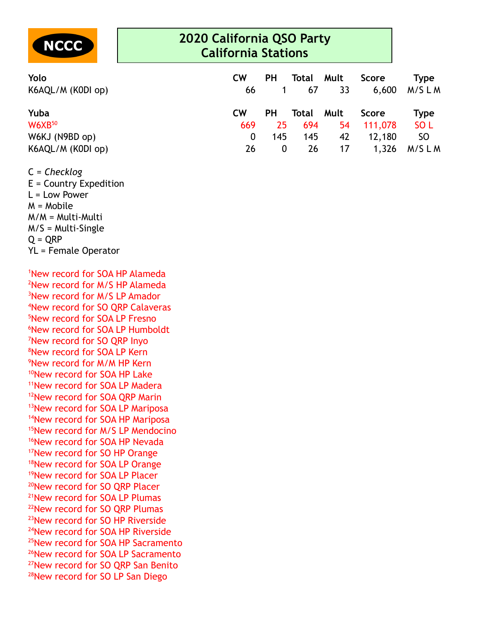

| Yolo              | <b>CW</b> | <b>PH</b> | Total Mult |    | Score   | Type            |
|-------------------|-----------|-----------|------------|----|---------|-----------------|
| K6AQL/M (K0DI op) | 66        |           | 67         | 33 | 6,600   | M/S L M         |
| Yuba              | <b>CW</b> | <b>PH</b> | Total Mult |    | Score   | Type            |
| $W6XB^{50}$       | 669       | 25        | 694        | 54 | 111,078 | SO <sub>L</sub> |
| W6KJ (N9BD op)    | $\Omega$  | 145       | 145        | 42 | 12,180  | <b>SO</b>       |
| K6AQL/M (K0DI op) | 26        | 0         | 26         | 17 | 1,326   | M/SLM           |

C = *Checklog*

E = Country Expedition L = Low Power M = Mobile M/M = Multi-Multi M/S = Multi-Single  $Q = QRP$ YL = Female Operator

New record for SOA HP Alameda New record for M/S HP Alameda New record for M/S LP Amador New record for SO QRP Calaveras New record for SOA LP Fresno New record for SOA LP Humboldt New record for SO QRP Inyo New record for SOA LP Kern New record for M/M HP Kern <sup>10</sup>New record for SOA HP Lake New record for SOA LP Madera <sup>12</sup>New record for SOA QRP Marin <sup>13</sup>New record for SOA LP Mariposa New record for SOA HP Mariposa <sup>15</sup>New record for M/S LP Mendocino <sup>16</sup>New record for SOA HP Nevada New record for SO HP Orange <sup>18</sup>New record for SOA LP Orange New record for SOA LP Placer New record for SO QRP Placer New record for SOA LP Plumas New record for SO QRP Plumas New record for SO HP Riverside New record for SOA HP Riverside New record for SOA HP Sacramento New record for SOA LP Sacramento <sup>27</sup>New record for SO QRP San Benito <sup>28</sup>New record for SO LP San Diego